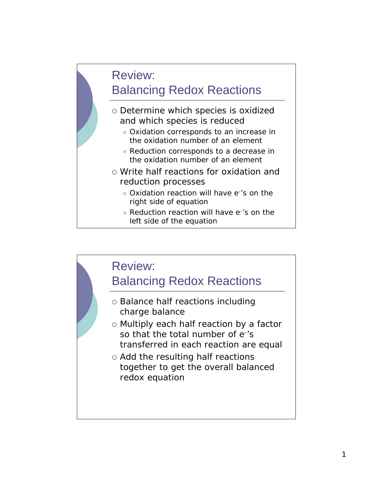# Review: Balancing Redox Reactions

- o Determine which species is oxidized and which species is reduced
	- Oxidation corresponds to an increase in the oxidation number of an element
	- Reduction corresponds to a decrease in the oxidation number of an element
- o Write half reactions for oxidation and reduction processes
	- Oxidation reaction will have e-'s on the right side of equation
	- Reduction reaction will have e-'s on the left side of the equation

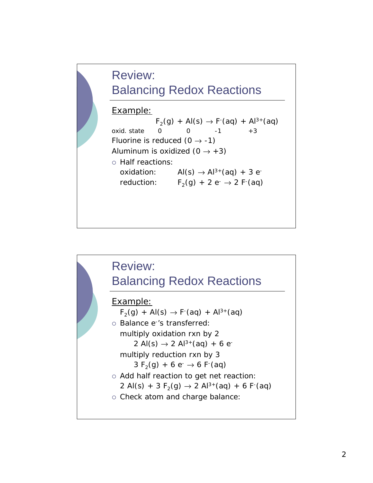# Review: Balancing Redox Reactions

### Example:

 $F_2(g) + Al(s) \to F'(aq) + Al^{3+}(aq)$ oxid. state  $0 = 0 -1 +3$ Fluorine is reduced  $(0 \rightarrow -1)$ Aluminum is oxidized  $(0 \rightarrow +3)$ o Half reactions: oxidation:  $AI(s) \rightarrow Al^{3+}(aq) + 3 e^{-}$ reduction:  $F_2(g) + 2 e^- \rightarrow 2 F^2(aq)$ 

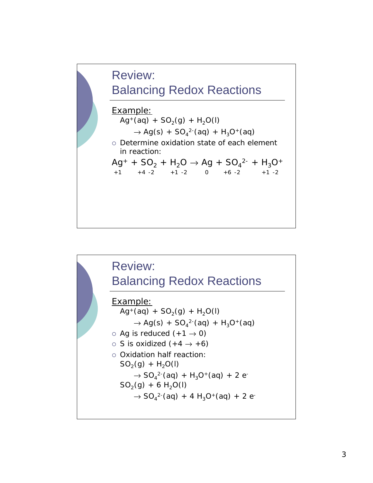

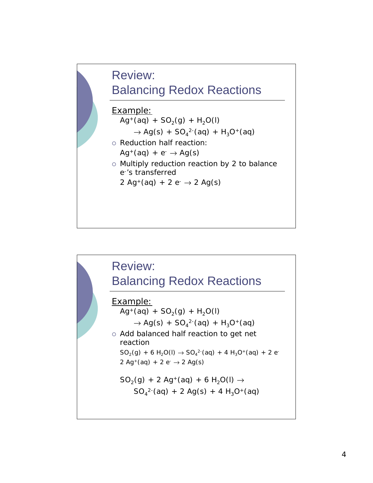![](_page_3_Figure_0.jpeg)

![](_page_3_Figure_1.jpeg)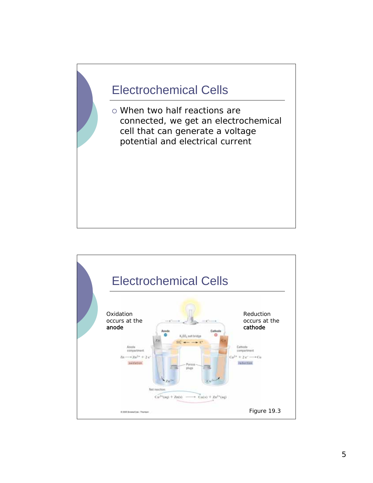## Electrochemical Cells

 When two half reactions are connected, we get an electrochemical cell that can generate a voltage potential and electrical current

![](_page_4_Figure_2.jpeg)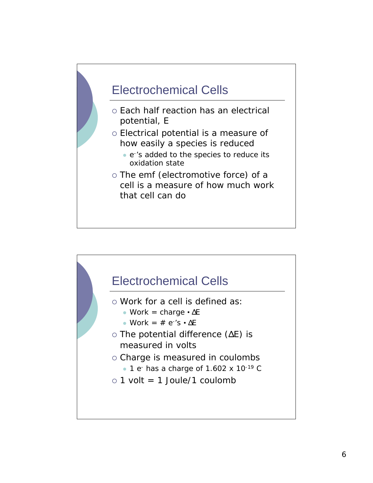![](_page_5_Figure_0.jpeg)

![](_page_5_Figure_1.jpeg)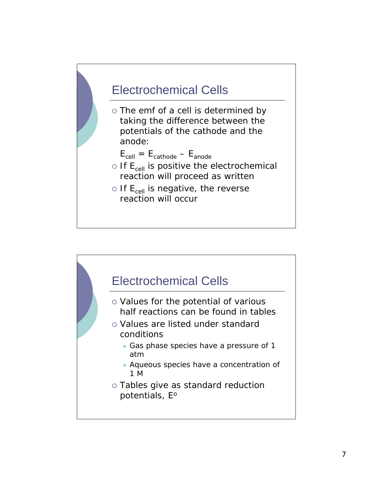![](_page_6_Figure_0.jpeg)

![](_page_6_Figure_1.jpeg)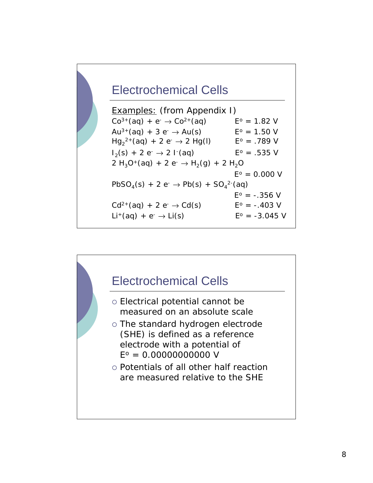### Electrochemical Cells

| <b>Examples:</b> (from Appendix I)                                                                            |                        |
|---------------------------------------------------------------------------------------------------------------|------------------------|
| $Co^{3+}(aq) + e^{-} \rightarrow Co^{2+}(aq)$                                                                 | $E^{\circ} = 1.82 V$   |
| $Au^{3+}(aq) + 3 e^- \rightarrow Au(s)$                                                                       | $E^{\circ} = 1.50 V$   |
| $Hg_2^{2+}(aq) + 2 e^- \rightarrow 2 Hg(l)$                                                                   | $E^{\circ} = .789$ V   |
| $I_2(s) + 2 e^- \rightarrow 2 I^2(aq)$                                                                        | $E^{\circ} = .535$ V   |
| 2 H <sub>3</sub> O <sup>+</sup> (aq) + 2 e <sup>-</sup> $\rightarrow$ H <sub>2</sub> (g) + 2 H <sub>2</sub> O |                        |
|                                                                                                               | $E^{\circ} = 0.000 V$  |
| $PbSO_4(s) + 2 e^- \rightarrow Pb(s) + SO_4^{2-}(aq)$                                                         |                        |
|                                                                                                               | $E^{\circ} = -.356$ V  |
| $Cd^{2+}(aq) + 2 e^- \rightarrow Cd(s)$                                                                       | $E^{\circ} = -.403$ V  |
| $Li^+(aq) + e^- \rightarrow Li(s)$                                                                            | $E^{\circ} = -3.045$ V |

![](_page_7_Figure_2.jpeg)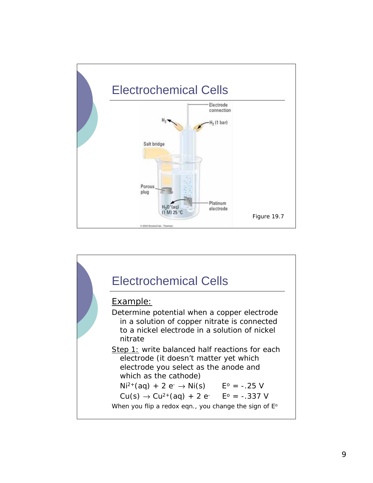![](_page_8_Figure_0.jpeg)

![](_page_8_Figure_1.jpeg)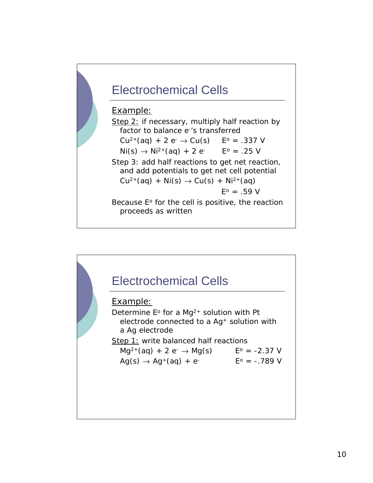![](_page_9_Figure_0.jpeg)

#### Example:

Step 2: if necessary, multiply half reaction by factor to balance e-'s transferred  $Cu^{2+}(aq) + 2 e^- \rightarrow Cu(s)$   $E^{\circ} = .337 V$  $Ni(s) \rightarrow Ni^{2+}(aq) + 2 e^ E^{\circ} = .25$  V Step 3: add half reactions to get net reaction, and add potentials to get net cell potential  $Cu^{2+}(aq) + Ni(s) \rightarrow Cu(s) + Ni^{2+}(aq)$  $E^{\circ} = .59 V$ Because  $E^{\circ}$  for the cell is positive, the reaction proceeds as written

![](_page_9_Figure_3.jpeg)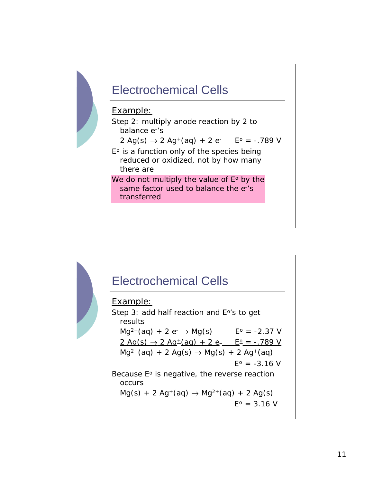![](_page_10_Figure_0.jpeg)

![](_page_10_Figure_1.jpeg)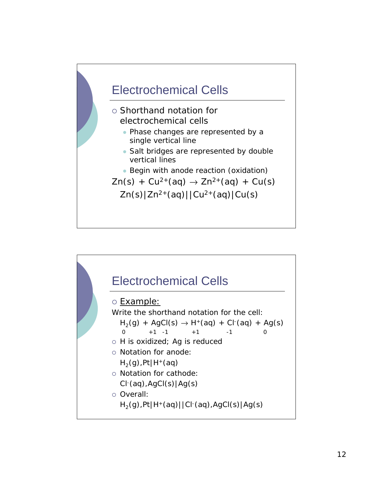![](_page_11_Figure_0.jpeg)

![](_page_11_Figure_1.jpeg)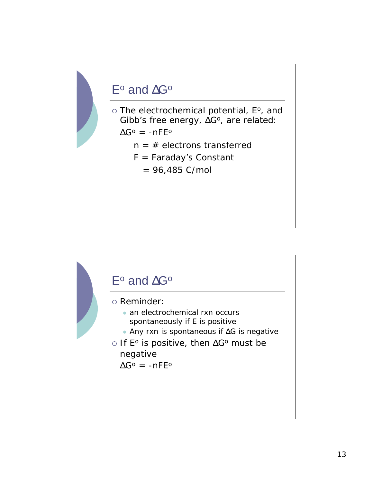### $E^{\circ}$  and  $\Delta G^{\circ}$

o The electrochemical potential, E°, and Gibb's free energy,  $\Delta G^{\circ}$ , are related:

 $\Delta G^{\circ} = -nFE^{\circ}$ 

- $n = #$  electrons transferred
- F = Faraday's Constant
	- $= 96,485$  C/mol

![](_page_12_Figure_6.jpeg)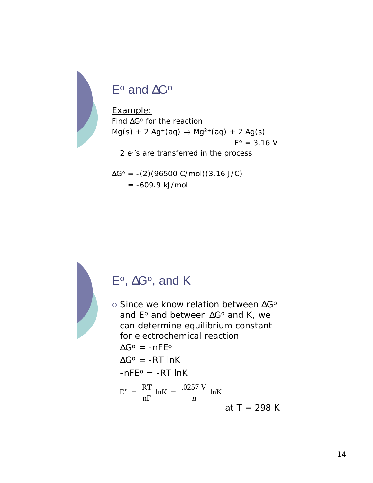### $E^{\circ}$  and  $\Delta G^{\circ}$

Example: Find  $\Delta G^{\circ}$  for the reaction  $Mg(s) + 2 Ag^{+}(aq) \rightarrow Mg^{2+}(aq) + 2 Ag(s)$  $E^o = 3.16$  V 2 e-'s are transferred in the process  $\Delta G^{\circ}$  = -(2)(96500 C/mol)(3.16 J/C)  $= -609.9$  kJ/mol

![](_page_13_Figure_2.jpeg)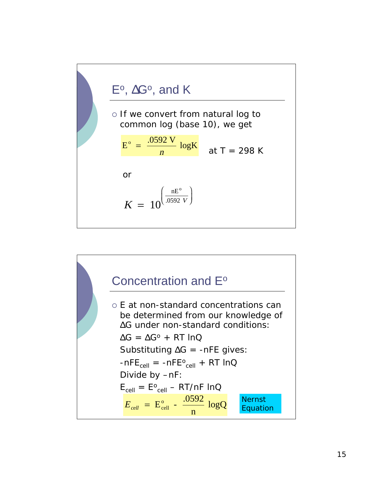![](_page_14_Figure_0.jpeg)

![](_page_14_Figure_1.jpeg)